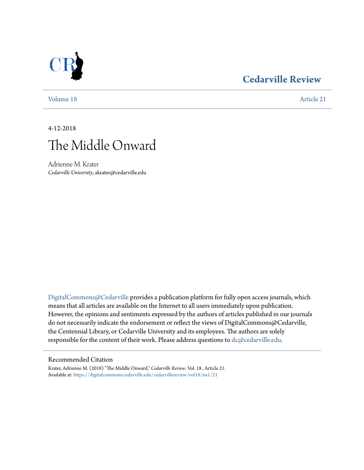## **[Cedarville Review](https://digitalcommons.cedarville.edu/cedarvillereview?utm_source=digitalcommons.cedarville.edu%2Fcedarvillereview%2Fvol18%2Fiss1%2F21&utm_medium=PDF&utm_campaign=PDFCoverPages)**



[Volume 18](https://digitalcommons.cedarville.edu/cedarvillereview/vol18?utm_source=digitalcommons.cedarville.edu%2Fcedarvillereview%2Fvol18%2Fiss1%2F21&utm_medium=PDF&utm_campaign=PDFCoverPages) [Article 21](https://digitalcommons.cedarville.edu/cedarvillereview/vol18/iss1/21?utm_source=digitalcommons.cedarville.edu%2Fcedarvillereview%2Fvol18%2Fiss1%2F21&utm_medium=PDF&utm_campaign=PDFCoverPages)

4-12-2018



Adrienne M. Krater *Cedarville University*, akrater@cedarville.edu

[DigitalCommons@Cedarville](http://digitalcommons.cedarville.edu/) provides a publication platform for fully open access journals, which means that all articles are available on the Internet to all users immediately upon publication. However, the opinions and sentiments expressed by the authors of articles published in our journals do not necessarily indicate the endorsement or reflect the views of DigitalCommons@Cedarville, the Centennial Library, or Cedarville University and its employees. The authors are solely responsible for the content of their work. Please address questions to [dc@cedarville.edu](mailto:dc@cedarville.edu).

#### Recommended Citation

Krater, Adrienne M. (2018) "The Middle Onward," *Cedarville Review*: Vol. 18 , Article 21. Available at: [https://digitalcommons.cedarville.edu/cedarvillereview/vol18/iss1/21](https://digitalcommons.cedarville.edu/cedarvillereview/vol18/iss1/21?utm_source=digitalcommons.cedarville.edu%2Fcedarvillereview%2Fvol18%2Fiss1%2F21&utm_medium=PDF&utm_campaign=PDFCoverPages)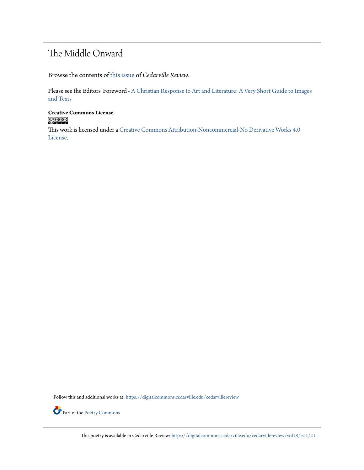## The Middle Onward

Browse the contents of [this issue](https://digitalcommons.cedarville.edu/cedarvillereview/vol18/iss1) of *Cedarville Review*.

Please see the Editors' Foreword - [A Christian Response to Art and Literature: A Very Short Guide to Images](http://digitalcommons.cedarville.edu/cedarvillereview/vol18/iss1/1/) [and Texts](http://digitalcommons.cedarville.edu/cedarvillereview/vol18/iss1/1/)

**Creative Commons License**  $\bigcirc$   $\circ$ 

This work is licensed under a [Creative Commons Attribution-Noncommercial-No Derivative Works 4.0](http://creativecommons.org/licenses/by-nc-nd/4.0/) [License.](http://creativecommons.org/licenses/by-nc-nd/4.0/)

Follow this and additional works at: [https://digitalcommons.cedarville.edu/cedarvillereview](https://digitalcommons.cedarville.edu/cedarvillereview?utm_source=digitalcommons.cedarville.edu%2Fcedarvillereview%2Fvol18%2Fiss1%2F21&utm_medium=PDF&utm_campaign=PDFCoverPages)



Part of the <u>[Poetry Commons](http://network.bepress.com/hgg/discipline/1153?utm_source=digitalcommons.cedarville.edu%2Fcedarvillereview%2Fvol18%2Fiss1%2F21&utm_medium=PDF&utm_campaign=PDFCoverPages)</u>

This poetry is available in Cedarville Review: [https://digitalcommons.cedarville.edu/cedarvillereview/vol18/iss1/21](https://digitalcommons.cedarville.edu/cedarvillereview/vol18/iss1/21?utm_source=digitalcommons.cedarville.edu%2Fcedarvillereview%2Fvol18%2Fiss1%2F21&utm_medium=PDF&utm_campaign=PDFCoverPages)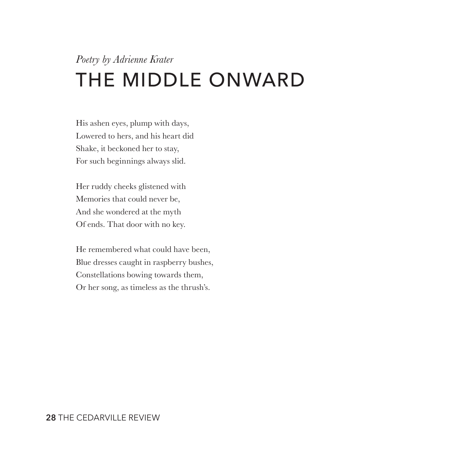# *Poetry by Adrienne Krater* THE MIDDLE ONWARD

His ashen eyes, plump with days, Lowered to hers, and his heart did Shake, it beckoned her to stay, For such beginnings always slid.

Her ruddy cheeks glistened with Memories that could never be, And she wondered at the myth Of ends. That door with no key.

He remembered what could have been, Blue dresses caught in raspberry bushes, Constellations bowing towards them, Or her song, as timeless as the thrush's.

#### **28** THE CEDARVILLE REVIEW